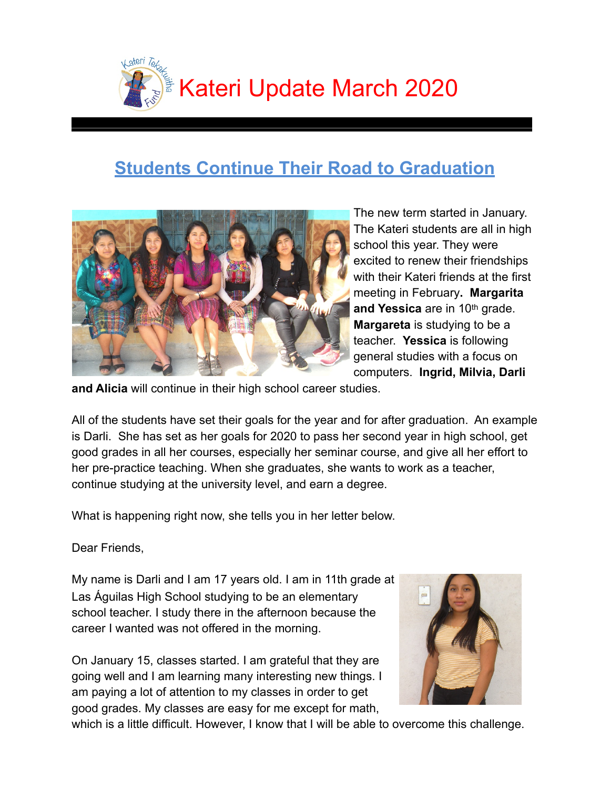

# **Students Continue Their Road to Graduation**



The new term started in January. The Kateri students are all in high school this year. They were excited to renew their friendships with their Kateri friends at the first meeting in February**. Margarita and Yessica** are in 10th grade. **Margareta** is studying to be a teacher. **Yessica** is following general studies with a focus on computers. **Ingrid, Milvia, Darli** 

**and Alicia** will continue in their high school career studies.

All of the students have set their goals for the year and for after graduation. An example is Darli. She has set as her goals for 2020 to pass her second year in high school, get good grades in all her courses, especially her seminar course, and give all her effort to her pre-practice teaching. When she graduates, she wants to work as a teacher, continue studying at the university level, and earn a degree.

What is happening right now, she tells you in her letter below.

Dear Friends,

My name is Darli and I am 17 years old. I am in 11th grade at Las Águilas High School studying to be an elementary school teacher. I study there in the afternoon because the career I wanted was not offered in the morning.

On January 15, classes started. I am grateful that they are going well and I am learning many interesting new things. I am paying a lot of attention to my classes in order to get good grades. My classes are easy for me except for math,



which is a little difficult. However, I know that I will be able to overcome this challenge.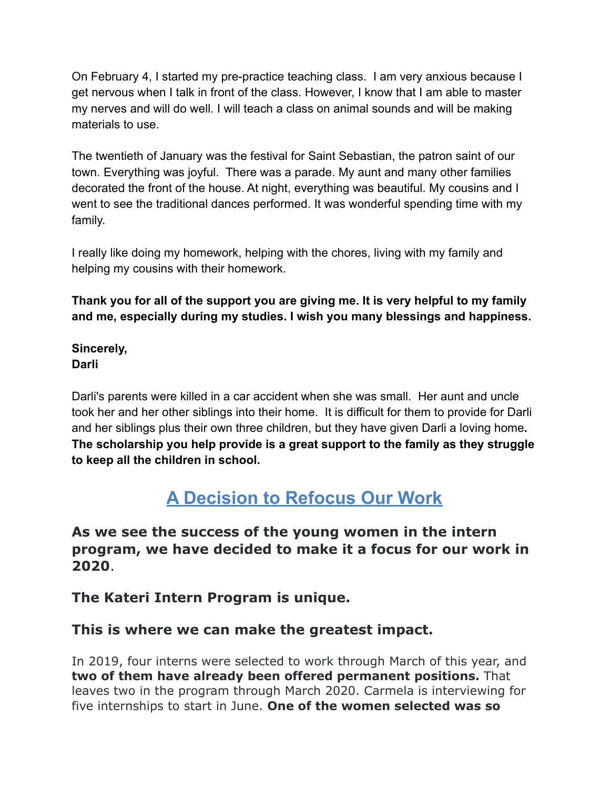On February 4, I started my pre-practice teaching class. I am very anxious because I get nervous when I talk in front of the class. However, I know that I am able to master my nerves and will do well. I will teach a class on animal sounds and will be making materials to use.

The twentieth of January was the festival for Saint Sebastian, the patron saint of our town. Everything was joyful. There was a parade. My aunt and many other families decorated the front of the house. At night, everything was beautiful. My cousins and I went to see the traditional dances performed. It was wonderful spending time with my family.

I really like doing my homework, helping with the chores, living with my family and helping my cousins with their homework.

**Thank you for all of the support you are giving me. It is very helpful to my family and me, especially during my studies. I wish you many blessings and happiness.**

**Sincerely, Darli** 

Darli's parents were killed in a car accident when she was small. Her aunt and uncle took her and her other siblings into their home. It is difficult for them to provide for Darli and her siblings plus their own three children, but they have given Darli a loving home**. The scholarship you help provide is a great support to the family as they struggle to keep all the children in school.**

# **A Decision to Refocus Our Work**

**As we see the success of the young women in the intern program, we have decided to make it a focus for our work in 2020**.

### **The Kateri Intern Program is unique.**

### **This is where we can make the greatest impact.**

In 2019, four interns were selected to work through March of this year, and **two of them have already been offered permanent positions.** That leaves two in the program through March 2020. Carmela is interviewing for five internships to start in June. **One of the women selected was so**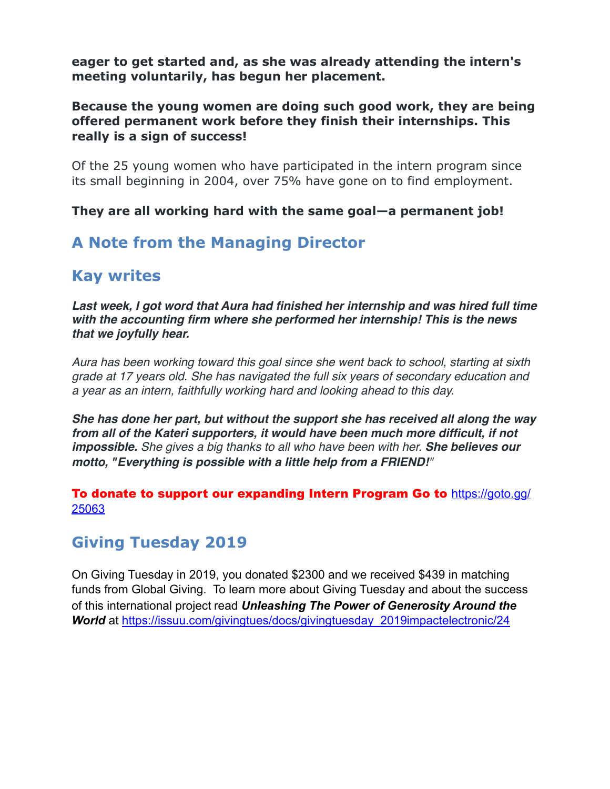**eager to get started and, as she was already attending the intern's meeting voluntarily, has begun her placement.**

#### **Because the young women are doing such good work, they are being offered permanent work before they finish their internships. This really is a sign of success!**

Of the 25 young women who have participated in the intern program since its small beginning in 2004, over 75% have gone on to find employment.

**They are all working hard with the same goal—a permanent job!**

## **A Note from the Managing Director**

## **Kay writes**

Last week, I got word that Aura had finished her internship and was hired full time *with the accounting firm where she performed her internship! This is the news that we joyfully hear.* 

*Aura has been working toward this goal since she went back to school, starting at sixth grade at 17 years old. She has navigated the full six years of secondary education and a year as an intern, faithfully working hard and looking ahead to this day.* 

*She has done her part, but without the support she has received all along the way from all of the Kateri supporters, it would have been much more difficult, if not impossible. She gives a big thanks to all who have been with her. She believes our motto, "Everything is possible with a little help from a FRIEND!"*

To donate to support our expanding Intern Program Go to [https://goto.gg/](https://goto.gg/25063) [25063](https://goto.gg/25063)

### **Giving Tuesday 2019**

On Giving Tuesday in 2019, you donated \$2300 and we received \$439 in matching funds from Global Giving. To learn more about Giving Tuesday and about the success of this international project read *Unleashing The Power of Generosity Around the*  **World** at [https://issuu.com/givingtues/docs/givingtuesday\\_2019impactelectronic/24](https://issuu.com/givingtues/docs/givingtuesday_2019impactelectronic/24)